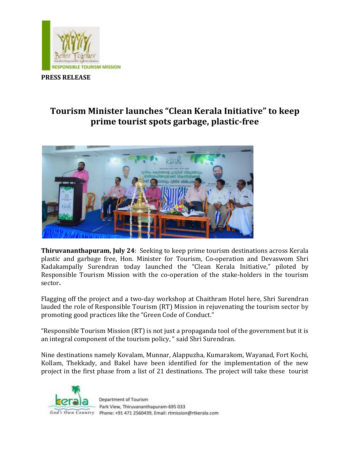

## **PRESS RELEASE**

## **Tourism Minister launches "Clean Kerala Initiative" to keep prime tourist spots garbage, plastic-free**



**Thiruvananthapuram, July 24**: Seeking to keep prime tourism destinations across Kerala plastic and garbage free, Hon. Minister for Tourism, Co-operation and Devaswom Shri Kadakampally Surendran today launched the "Clean Kerala Initiative," piloted by Responsible Tourism Mission with the co-operation of the stake-holders in the tourism sector**.** 

Flagging off the project and a two-day workshop at Chaithram Hotel here, Shri Surendran lauded the role of Responsible Tourism (RT) Mission in rejuvenating the tourism sector by promoting good practices like the "Green Code of Conduct."

"Responsible Tourism Mission (RT) is not just a propaganda tool of the government but it is an integral component of the tourism policy, " said Shri Surendran.

Nine destinations namely Kovalam, Munnar, Alappuzha, Kumarakom, Wayanad, Fort Kochi, Kollam, Thekkady, and Bakel have been identified for the implementation of the new project in the first phase from a list of 21 destinations. The project will take these tourist

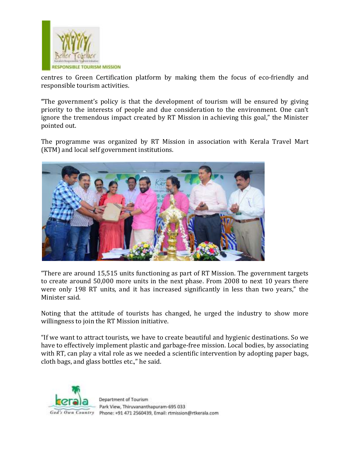

centres to Green Certification platform by making them the focus of eco-friendly and responsible tourism activities.

**"**The government's policy is that the development of tourism will be ensured by giving priority to the interests of people and due consideration to the environment. One can't ignore the tremendous impact created by RT Mission in achieving this goal," the Minister pointed out.

The programme was organized by RT Mission in association with Kerala Travel Mart (KTM) and local self government institutions.



"There are around 15,515 units functioning as part of RT Mission. The government targets to create around 50,000 more units in the next phase. From 2008 to next 10 years there were only 198 RT units, and it has increased significantly in less than two years," the Minister said.

Noting that the attitude of tourists has changed, he urged the industry to show more willingness to join the RT Mission initiative.

"If we want to attract tourists, we have to create beautiful and hygienic destinations. So we have to effectively implement plastic and garbage-free mission. Local bodies, by associating with RT, can play a vital role as we needed a scientific intervention by adopting paper bags, cloth bags, and glass bottles etc.," he said.

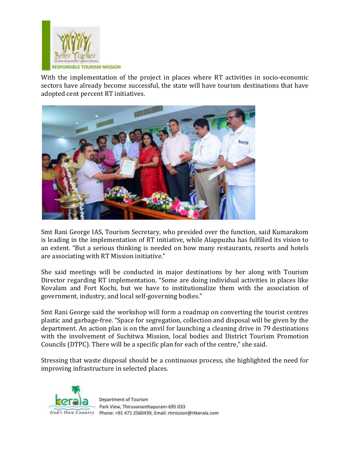

With the implementation of the project in places where RT activities in socio-economic sectors have already become successful, the state will have tourism destinations that have adopted cent percent RT initiatives.



Smt Rani George IAS, Tourism Secretary, who presided over the function, said Kumarakom is leading in the implementation of RT initiative, while Alappuzha has fulfilled its vision to an extent. "But a serious thinking is needed on how many restaurants, resorts and hotels are associating with RT Mission initiative."

She said meetings will be conducted in major destinations by her along with Tourism Director regarding RT implementation. "Some are doing individual activities in places like Kovalam and Fort Kochi, but we have to institutionalize them with the association of government, industry, and local self-governing bodies."

Smt Rani George said the workshop will form a roadmap on converting the tourist centres plastic and garbage-free. "Space for segregation, collection and disposal will be given by the department. An action plan is on the anvil for launching a cleaning drive in 79 destinations with the involvement of Suchitwa Mission, local bodies and District Tourism Promotion Councils (DTPC). There will be a specific plan for each of the centre," she said.

Stressing that waste disposal should be a continuous process, she highlighted the need for improving infrastructure in selected places.



Park View, Thiruvananthapuram-695 033 God's Own Country Phone: +91 471 2560439, Email: rtmission@rtkerala.com